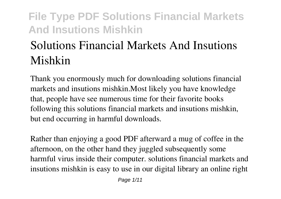# **Solutions Financial Markets And Insutions Mishkin**

Thank you enormously much for downloading **solutions financial markets and insutions mishkin**.Most likely you have knowledge that, people have see numerous time for their favorite books following this solutions financial markets and insutions mishkin, but end occurring in harmful downloads.

Rather than enjoying a good PDF afterward a mug of coffee in the afternoon, on the other hand they juggled subsequently some harmful virus inside their computer. **solutions financial markets and insutions mishkin** is easy to use in our digital library an online right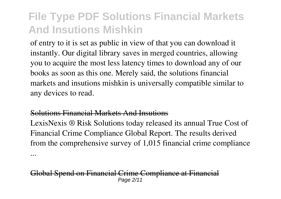of entry to it is set as public in view of that you can download it instantly. Our digital library saves in merged countries, allowing you to acquire the most less latency times to download any of our books as soon as this one. Merely said, the solutions financial markets and insutions mishkin is universally compatible similar to any devices to read.

#### Solutions Financial Markets And Insutions

LexisNexis ® Risk Solutions today released its annual True Cost of Financial Crime Compliance Global Report. The results derived from the comprehensive survey of 1,015 financial crime compliance ...

al Spend on Financial Crime Compliance at Financ Page 2/11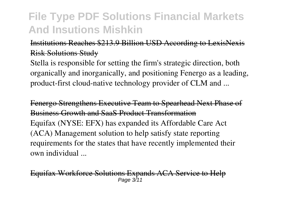#### Institutions Reaches \$213.9 Billion USD According to LexisNex Risk Solutions Study

Stella is responsible for setting the firm's strategic direction, both organically and inorganically, and positioning Fenergo as a leading, product-first cloud-native technology provider of CLM and ...

Fenergo Strengthens Executive Team to Spearhead Next Phase of Business Growth and SaaS Product Transformation Equifax (NYSE: EFX) has expanded its Affordable Care Act (ACA) Management solution to help satisfy state reporting requirements for the states that have recently implemented their own individual ...

Fax Workforce Solutions Expands ACA Service to Page  $3/1$ <sup>1</sup>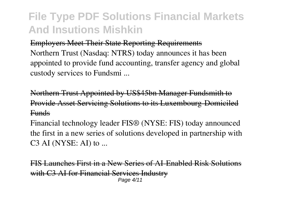#### Employers Meet Their State Reporting Requirements

Northern Trust (Nasdaq: NTRS) today announces it has been appointed to provide fund accounting, transfer agency and global custody services to Fundsmi ...

Northern Trust Appointed by US\$45bn Manager Fundsmith to Provide Asset Servicing Solutions to its Luxembourg-Domiciled **Funds** 

Financial technology leader FIS® (NYSE: FIS) today announced the first in a new series of solutions developed in partnership with  $C3$  AI (NYSE: AI) to ...

FIS Launches First in a New Series of AI-Enabled Risk Solution with C3 AI for Financial Services Industry Page 4/11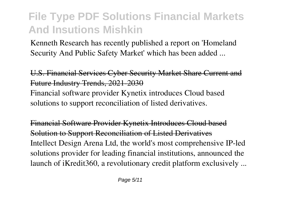Kenneth Research has recently published a report on 'Homeland Security And Public Safety Market' which has been added ...

U.S. Financial Services Cyber Security Market Share Current and Future Industry Trends, 2021-2030 Financial software provider Kynetix introduces Cloud based

solutions to support reconciliation of listed derivatives.

Financial Software Provider Kynetix Introduces Cloud based Solution to Support Reconciliation of Listed Derivatives Intellect Design Arena Ltd, the world's most comprehensive IP-led solutions provider for leading financial institutions, announced the launch of iKredit360, a revolutionary credit platform exclusively ...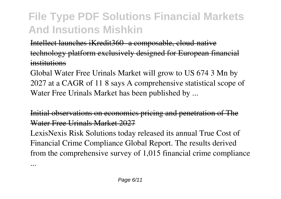Intellect launches iKredit360- a composable, cloud-native technology platform exclusively designed for European financial institutions

Global Water Free Urinals Market will grow to US 674 3 Mn by 2027 at a CAGR of 11 8 says A comprehensive statistical scope of Water Free Urinals Market has been published by ...

Initial observations on economics pricing and penetration of The Water Free Urinals Market 2027

LexisNexis Risk Solutions today released its annual True Cost of Financial Crime Compliance Global Report. The results derived from the comprehensive survey of 1,015 financial crime compliance

...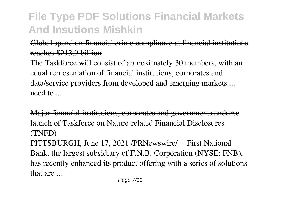#### Global spend on financial crime compliance at financial institutions reaches \$213.9 billion

The Taskforce will consist of approximately 30 members, with an equal representation of financial institutions, corporates and data/service providers from developed and emerging markets ... need to ...

Major financial institutions, corporates and governments endorse launch of Taskforce on Nature-related Financial Disclosures (TNFD)

PITTSBURGH, June 17, 2021 /PRNewswire/ -- First National Bank, the largest subsidiary of F.N.B. Corporation (NYSE: FNB), has recently enhanced its product offering with a series of solutions that are ...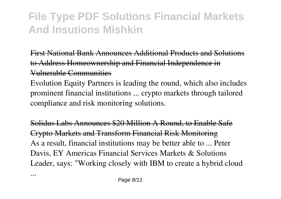First National Bank Announces Additional Products and Solutions to Address Homeownership and Financial Independence in Vulnerable Communities

Evolution Equity Partners is leading the round, which also includes prominent financial institutions ... crypto markets through tailored compliance and risk monitoring solutions.

olidus Labs Announces \$20 Million A Round, to Enable Safe Crypto Markets and Transform Financial Risk Monitoring As a result, financial institutions may be better able to ... Peter Davis, EY Americas Financial Services Markets & Solutions Leader, says: "Working closely with IBM to create a hybrid cloud

...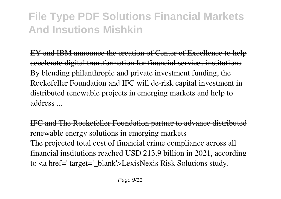EY and IBM announce the creation of Center of Excellence to he accelerate digital transformation for financial services institutions By blending philanthropic and private investment funding, the Rockefeller Foundation and IFC will de-risk capital investment in distributed renewable projects in emerging markets and help to address ...

IFC and The Rockefeller Foundation partner to advance distribut renewable energy solutions in emerging markets The projected total cost of financial crime compliance across all financial institutions reached USD 213.9 billion in 2021, according to <a href=' target='\_blank'>LexisNexis Risk Solutions study.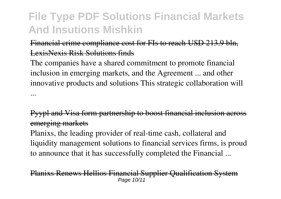#### Financial crime compliance cost for FIs to reach USD 213.9 bln. LexisNexis Risk Solutions finds

The companies have a shared commitment to promote financial inclusion in emerging markets, and the Agreement ... and other innovative products and solutions This strategic collaboration will ...

#### Pyypl and Visa form partnership to boost financial inclusion across emerging markets

Planixs, the leading provider of real-time cash, collateral and liquidity management solutions to financial services firms, is proud to announce that it has successfully completed the Financial ...

#### ks Renews Hellios Financial Supplier Qualification System Page 10/11